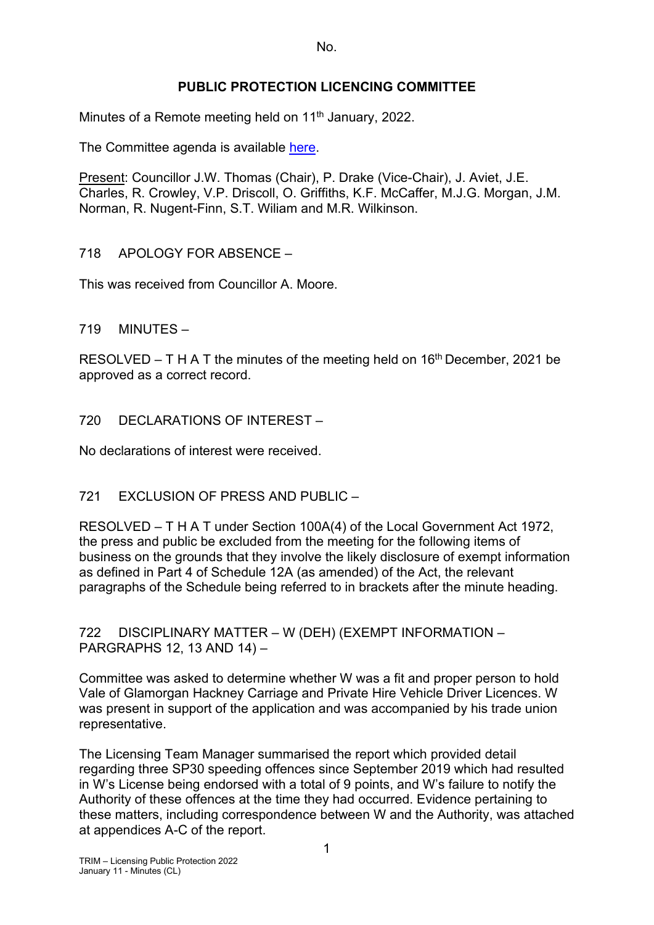No.

## **PUBLIC PROTECTION LICENCING COMMITTEE**

Minutes of a Remote meeting held on 11<sup>th</sup> January, 2022.

The Committee agenda is available [here.](https://www.valeofglamorgan.gov.uk/en/our_council/Council-Structure/minutes,_agendas_and_reports/agendas/Licensing-Public-Protection/2022/22-01-11.aspx)

Present: Councillor J.W. Thomas (Chair), P. Drake (Vice-Chair), J. Aviet, J.E. Charles, R. Crowley, V.P. Driscoll, O. Griffiths, K.F. McCaffer, M.J.G. Morgan, J.M. Norman, R. Nugent-Finn, S.T. Wiliam and M.R. Wilkinson.

718 APOLOGY FOR ABSENCE –

This was received from Councillor A. Moore.

719 MINUTES –

RESOLVED – T H A T the minutes of the meeting held on  $16<sup>th</sup>$  December, 2021 be approved as a correct record.

720 DECLARATIONS OF INTEREST –

No declarations of interest were received.

721 EXCLUSION OF PRESS AND PUBLIC –

RESOLVED – T H A T under Section 100A(4) of the Local Government Act 1972, the press and public be excluded from the meeting for the following items of business on the grounds that they involve the likely disclosure of exempt information as defined in Part 4 of Schedule 12A (as amended) of the Act, the relevant paragraphs of the Schedule being referred to in brackets after the minute heading.

722 DISCIPLINARY MATTER – W (DEH) (EXEMPT INFORMATION – PARGRAPHS 12, 13 AND 14) –

Committee was asked to determine whether W was a fit and proper person to hold Vale of Glamorgan Hackney Carriage and Private Hire Vehicle Driver Licences. W was present in support of the application and was accompanied by his trade union representative.

The Licensing Team Manager summarised the report which provided detail regarding three SP30 speeding offences since September 2019 which had resulted in W's License being endorsed with a total of 9 points, and W's failure to notify the Authority of these offences at the time they had occurred. Evidence pertaining to these matters, including correspondence between W and the Authority, was attached at appendices A-C of the report.